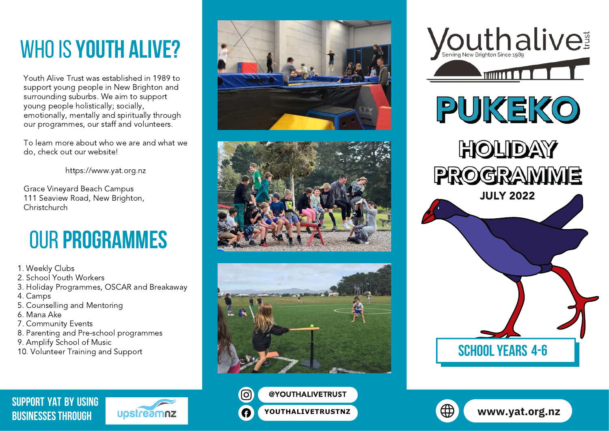# whoIS **YOUTH ALIVE?**

Youth Alive Trust was established in 1989 to support young people in New Brighton and surrounding suburbs. We aim to support young people holistically; socially, emotionally, mentally and spiritually through our programmes, our staff and volunteers.

To learn more about who we are and what we do, check out our website!

[https://www.yat.org.nz](https://www.yat.org.nz/)

Grace Vineyard Beach Campus 111 Seaview Road, New Brighton, Christchurch

# our **Programmes**

- 1. Weekly Clubs
- 2. School Youth Workers
- 3. Holiday Programmes, OSCAR and Breakaway
- 4. Camps
- 5. Counselling and Mentoring
- 6. Mana Ake
- 7. Community Events
- 8. Parenting and Pre-school programmes
- 9. Amplify School of Music
- 10. Volunteer Training and Support















**[SUPPORT YAT BY USING](https://www.upstreamnz.co.nz/) BUSINESSES THROUGH**



**[YOUTHALIVETRUSTNZ](https://www.facebook.com/youthalivetrustnz) [www.yat.org.nz](http://www.yat.org.nz/)**